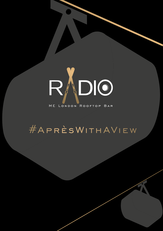# DIO

# ME LONDON ROOFTOP BAR

# #APRÈSWITHAVIEW